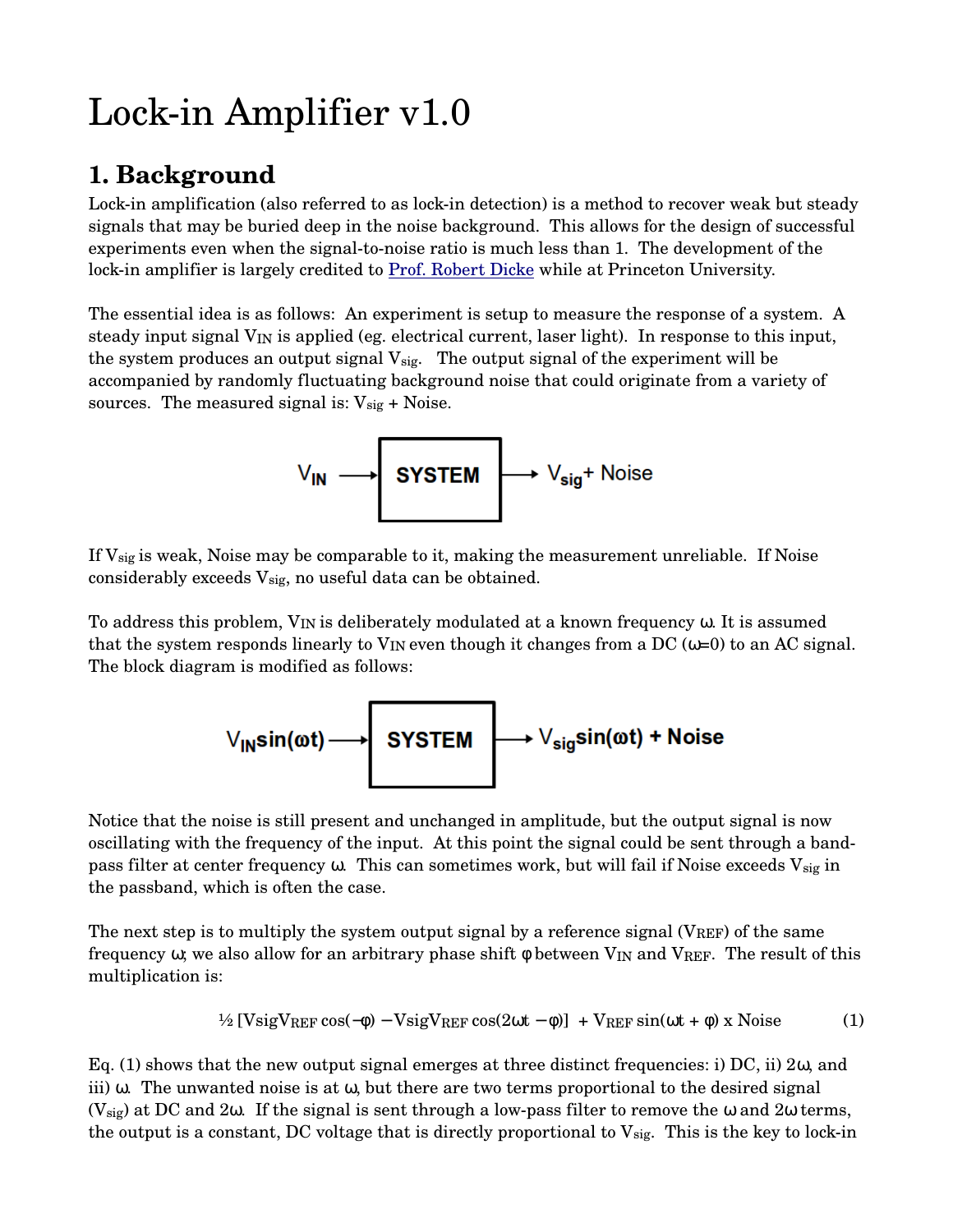# Lock-in Amplifier  $v1.0$

## **1. Background**

Lock-in amplification (also referred to as lock-in detection) is a method to recover weak but steady signals that may be buried deep in the noise background. This allows for the design of successful experiments even when the signal-to-noise ratio is much less than 1. The development of the lock-in amplifier is largely credited to <u>Prof. Robert Dicke</u> while at Princeton University.

The essential idea is as follows: An experiment is setup to measure the response of a system. A steady input signal V<sub>IN</sub> is applied (eg. electrical current, laser light). In response to this input, the system produces an output signal  $V_{sig.}$  The output signal of the experiment will be accompanied by randomly fluctuating background noise that could originate from a variety of sources. The measured signal is:  $V_{sig}$  + Noise.

$$
V_{IN} \longrightarrow \boxed{\text{SYSTEM}} \longrightarrow V_{sig} + \text{Noise}
$$

If  $V_{sig}$  is weak, Noise may be comparable to it, making the measurement unreliable. If Noise considerably exceeds  $V_{sig}$ , no useful data can be obtained.

To address this problem, VIN is deliberately modulated at a known frequency ω. It is assumed that the system responds linearly to  $V_{IN}$  even though it changes from a DC ( $\omega=0$ ) to an AC signal. The block diagram is modified as follows:

$$
\vee_{\mathsf{IN}}\mathsf{sin}(\omega t) \longrightarrow \boxed{\mathsf{SYSTEM}} \longrightarrow \vee_{\mathsf{sig}}\mathsf{sin}(\omega t) + \mathsf{Noise}
$$

Notice that the noise is still present and unchanged in amplitude, but the output signal is now oscillating with the frequency of the input. At this point the signal could be sent through a bandpass filter at center frequency  $\omega$ . This can sometimes work, but will fail if Noise exceeds  $V_{sig}$  in the passband, which is often the case.

The next step is to multiply the system output signal by a reference signal (VREF) of the same frequency  $\omega$ ; we also allow for an arbitrary phase shift  $\phi$  between V<sub>IN</sub> and VREF. The result of this multiplication is:

$$
\frac{1}{2} \left[ \text{VsigV}_{REF} \cos(-\phi) - \text{VsigV}_{REF} \cos(2\omega t - \phi) \right] + \text{V}_{REF} \sin(\omega t + \phi) \times \text{Noise} \tag{1}
$$

Eq. (1) shows that the new output signal emerges at three distinct frequencies: i) DC, ii) 2ω, and iii) ω. The unwanted noise is at ω, but there are two terms proportional to the desired signal  $(V_{sig})$  at DC and 2 $\omega$ . If the signal is sent through a low-pass filter to remove the  $\omega$  and 2 $\omega$  terms, the output is a constant, DC voltage that is directly proportional to  $V_{sig.}$  This is the key to lock-in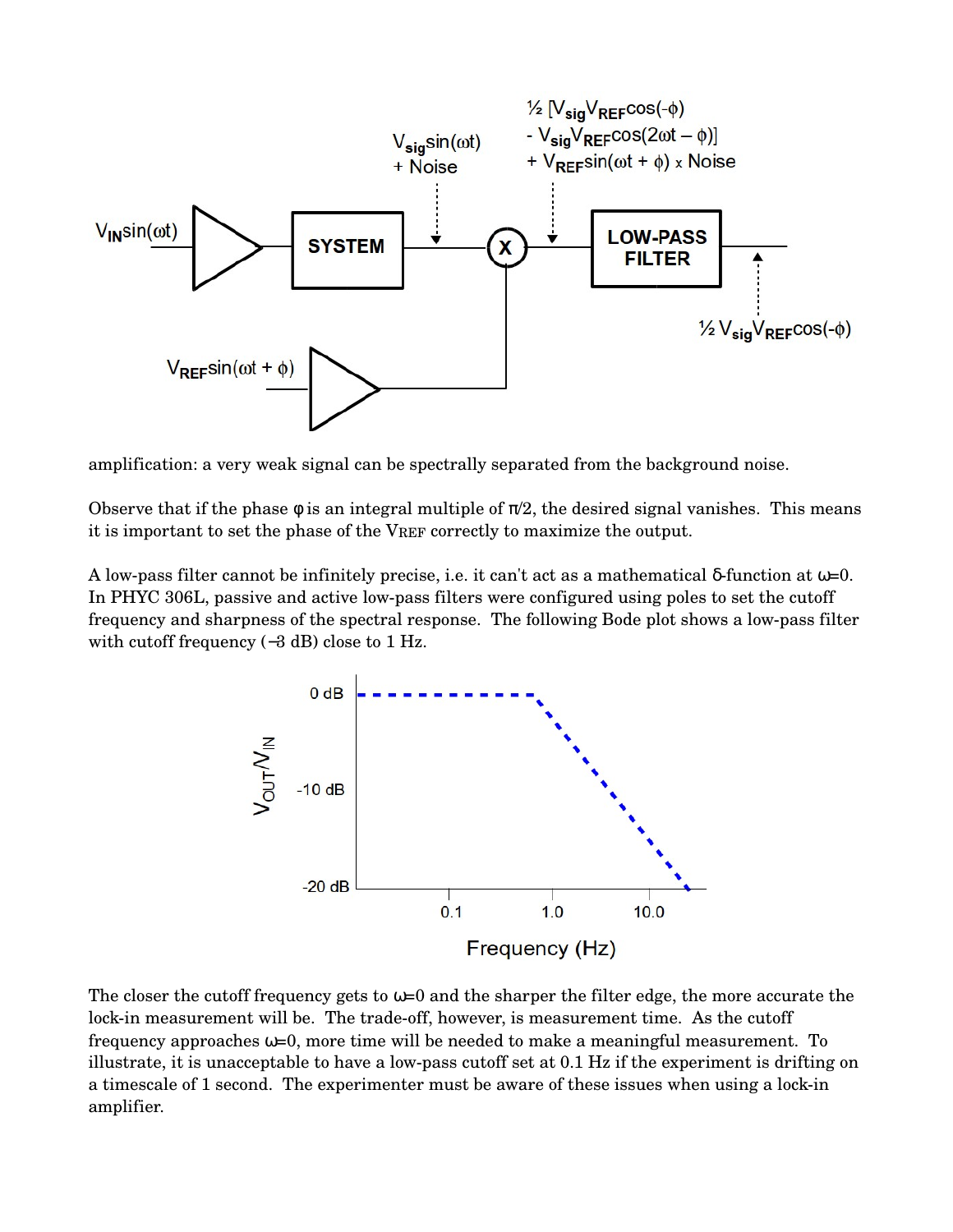

amplification: a very weak signal can be spectrally separated from the background noise.

Observe that if the phase  $\phi$  is an integral multiple of  $\pi/2$ , the desired signal vanishes. This means it is important to set the phase of the VREF correctly to maximize the output.

A low-pass filter cannot be infinitely precise, i.e. it can't act as a mathematical δ-function at  $ω=0$ . In PHYC 306L, passive and active low-pass filters were configured using poles to set the cutoff frequency and sharpness of the spectral response. The following Bode plot shows a lowpass filter with cutoff frequency (−3 dB) close to 1 Hz.



The closer the cutoff frequency gets to  $\omega=0$  and the sharper the filter edge, the more accurate the lock-in measurement will be. The trade-off, however, is measurement time. As the cutoff frequency approaches  $\omega=0$ , more time will be needed to make a meaningful measurement. To illustrate, it is unacceptable to have a low-pass cutoff set at  $0.1$  Hz if the experiment is drifting on a timescale of 1 second. The experimenter must be aware of these issues when using a lock-in amplifier.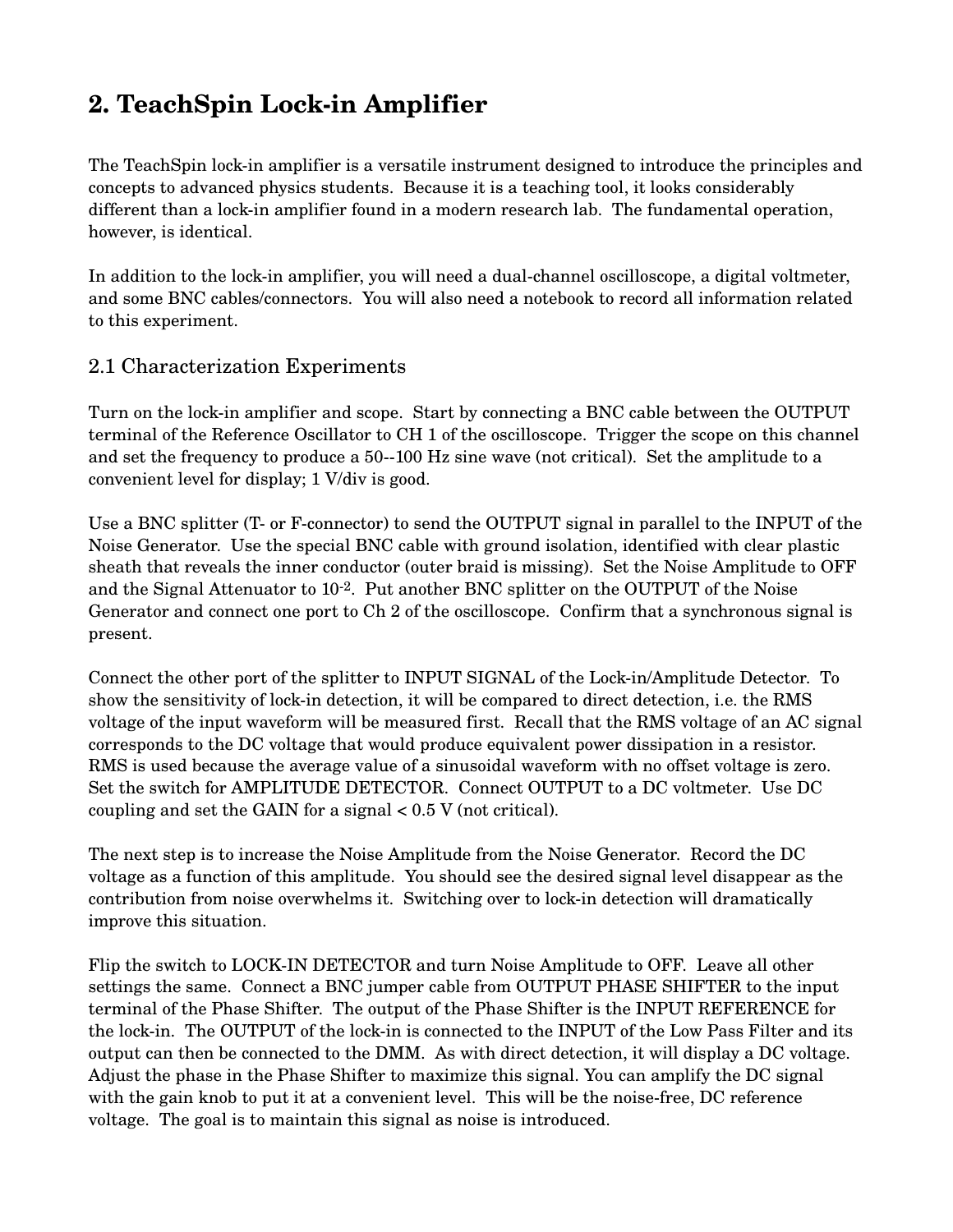# **2. TeachSpin Lockin Amplifier**

The TeachSpin lock-in amplifier is a versatile instrument designed to introduce the principles and concepts to advanced physics students. Because it is a teaching tool, it looks considerably different than a lock-in amplifier found in a modern research lab. The fundamental operation, however, is identical.

In addition to the lock-in amplifier, you will need a dual-channel oscilloscope, a digital voltmeter, and some BNC cables/connectors. You will also need a notebook to record all information related to this experiment.

#### 2.1 Characterization Experiments

Turn on the lock-in amplifier and scope. Start by connecting a BNC cable between the OUTPUT terminal of the Reference Oscillator to CH 1 of the oscilloscope. Trigger the scope on this channel and set the frequency to produce a 50--100 Hz sine wave (not critical). Set the amplitude to a convenient level for display; 1 V/div is good.

Use a BNC splitter (T- or F-connector) to send the OUTPUT signal in parallel to the INPUT of the Noise Generator. Use the special BNC cable with ground isolation, identified with clear plastic sheath that reveals the inner conductor (outer braid is missing). Set the Noise Amplitude to OFF and the Signal Attenuator to  $10^{-2}$ . Put another BNC splitter on the OUTPUT of the Noise Generator and connect one port to Ch 2 of the oscilloscope. Confirm that a synchronous signal is present.

Connect the other port of the splitter to INPUT SIGNAL of the Lockin/Amplitude Detector. To show the sensitivity of lock-in detection, it will be compared to direct detection, i.e. the RMS voltage of the input waveform will be measured first. Recall that the RMS voltage of an AC signal corresponds to the DC voltage that would produce equivalent power dissipation in a resistor. RMS is used because the average value of a sinusoidal waveform with no offset voltage is zero. Set the switch for AMPLITUDE DETECTOR. Connect OUTPUT to a DC voltmeter. Use DC coupling and set the GAIN for a signal < 0.5 V (not critical).

The next step is to increase the Noise Amplitude from the Noise Generator. Record the DC voltage as a function of this amplitude. You should see the desired signal level disappear as the contribution from noise overwhelms it. Switching over to lock-in detection will dramatically improve this situation.

Flip the switch to LOCK-IN DETECTOR and turn Noise Amplitude to OFF. Leave all other settings the same. Connect a BNC jumper cable from OUTPUT PHASE SHIFTER to the input terminal of the Phase Shifter. The output of the Phase Shifter is the INPUT REFERENCE for the lock-in. The OUTPUT of the lock-in is connected to the INPUT of the Low Pass Filter and its output can then be connected to the DMM. As with direct detection, it will display a DC voltage. Adjust the phase in the Phase Shifter to maximize this signal. You can amplify the DC signal with the gain knob to put it at a convenient level. This will be the noise-free, DC reference voltage. The goal is to maintain this signal as noise is introduced.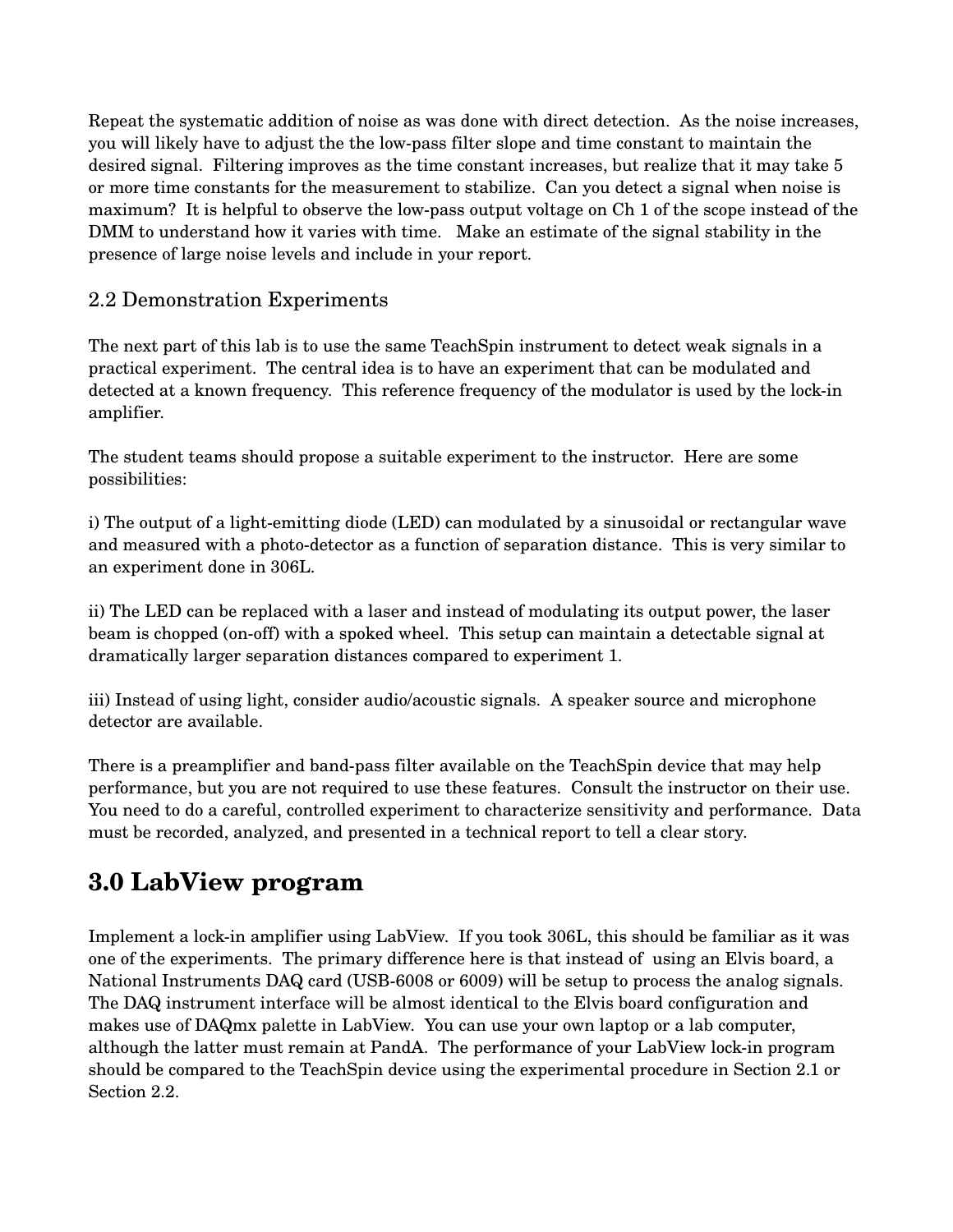Repeat the systematic addition of noise as was done with direct detection. As the noise increases, you will likely have to adjust the the lowpass filter slope and time constant to maintain the desired signal. Filtering improves as the time constant increases, but realize that it may take 5 or more time constants for the measurement to stabilize. Can you detect a signal when noise is maximum? It is helpful to observe the low-pass output voltage on Ch 1 of the scope instead of the DMM to understand how it varies with time. Make an estimate of the signal stability in the presence of large noise levels and include in your report.

#### 2.2 Demonstration Experiments

The next part of this lab is to use the same TeachSpin instrument to detect weak signals in a practical experiment. The central idea is to have an experiment that can be modulated and detected at a known frequency. This reference frequency of the modulator is used by the lock-in amplifier.

The student teams should propose a suitable experiment to the instructor. Here are some possibilities:

i) The output of a light-emitting diode (LED) can modulated by a sinusoidal or rectangular wave and measured with a photo-detector as a function of separation distance. This is very similar to an experiment done in 306L.

ii) The LED can be replaced with a laser and instead of modulating its output power, the laser beam is chopped (on-off) with a spoked wheel. This setup can maintain a detectable signal at dramatically larger separation distances compared to experiment 1.

iii) Instead of using light, consider audio/acoustic signals. A speaker source and microphone detector are available.

There is a preamplifier and band-pass filter available on the TeachSpin device that may help performance, but you are not required to use these features. Consult the instructor on their use. You need to do a careful, controlled experiment to characterize sensitivity and performance. Data must be recorded, analyzed, and presented in a technical report to tell a clear story.

### **3.0 LabView program**

Implement a lock-in amplifier using LabView. If you took 306L, this should be familiar as it was one of the experiments. The primary difference here is that instead of using an Elvis board, a National Instruments DAQ card (USB-6008 or 6009) will be setup to process the analog signals. The DAQ instrument interface will be almost identical to the Elvis board configuration and makes use of DAQmx palette in LabView. You can use your own laptop or a lab computer, although the latter must remain at PandA. The performance of your LabView lock-in program should be compared to the TeachSpin device using the experimental procedure in Section 2.1 or Section 2.2.